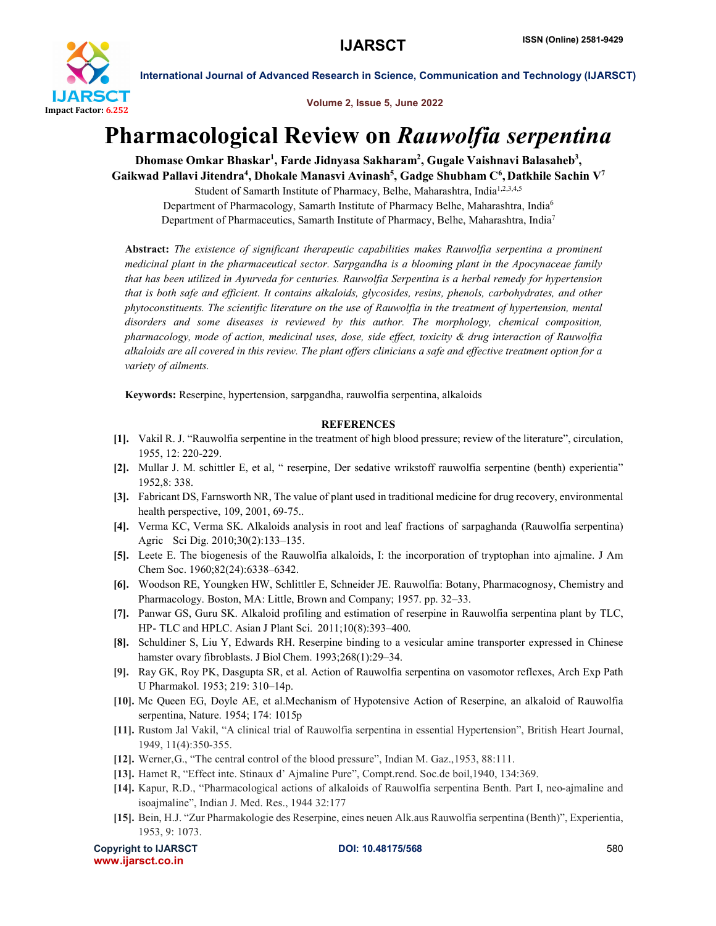

International Journal of Advanced Research in Science, Communication and Technology (IJARSCT)

Volume 2, Issue 5, June 2022

## Pharmacological Review on *Rauwolfia serpentina*

Dhomase Omkar Bhaskar<sup>1</sup>, Farde Jidnyasa Sakharam<sup>2</sup>, Gugale Vaishnavi Balasaheb<sup>3</sup>, Gaikwad Pallavi Jitendra<sup>4</sup>, Dhokale Manasvi Avinash<sup>5</sup>, Gadge Shubham C<sup>6</sup>, Datkhile Sachin V<sup>7</sup>

Student of Samarth Institute of Pharmacy, Belhe, Maharashtra, India<sup>1,2,3,4,5</sup> Department of Pharmacology, Samarth Institute of Pharmacy Belhe, Maharashtra, India6 Department of Pharmaceutics, Samarth Institute of Pharmacy, Belhe, Maharashtra, India7

Abstract: *The existence of significant therapeutic capabilities makes Rauwolfia serpentina a prominent medicinal plant in the pharmaceutical sector. Sarpgandha is a blooming plant in the Apocynaceae family that has been utilized in Ayurveda for centuries. Rauwolfia Serpentina is a herbal remedy for hypertension that is both safe and efficient. It contains alkaloids, glycosides, resins, phenols, carbohydrates, and other phytoconstituents. The scientific literature on the use of Rauwolfia in the treatment of hypertension, mental disorders and some diseases is reviewed by this author. The morphology, chemical composition, pharmacology, mode of action, medicinal uses, dose, side effect, toxicity & drug interaction of Rauwolfia alkaloids are all covered in this review. The plant offers clinicians a safe and effective treatment option for a variety of ailments.*

Keywords: Reserpine, hypertension, sarpgandha, rauwolfia serpentina, alkaloids

## **REFERENCES**

- [1]. Vakil R. J. "Rauwolfia serpentine in the treatment of high blood pressure; review of the literature", circulation, 1955, 12: 220-229.
- [2]. Mullar J. M. schittler E, et al, " reserpine, Der sedative wrikstoff rauwolfia serpentine (benth) experientia" 1952,8: 338.
- [3]. Fabricant DS, Farnsworth NR, The value of plant used in traditional medicine for drug recovery, environmental health perspective, 109, 2001, 69-75..
- [4]. Verma KC, Verma SK. Alkaloids analysis in root and leaf fractions of sarpaghanda (Rauwolfia serpentina) Agric Sci Dig. 2010;30(2):133–135.
- [5]. Leete E. The biogenesis of the Rauwolfia alkaloids, I: the incorporation of tryptophan into ajmaline. J Am Chem Soc. 1960;82(24):6338–6342.
- [6]. Woodson RE, Youngken HW, Schlittler E, Schneider JE. Rauwolfia: Botany, Pharmacognosy, Chemistry and Pharmacology. Boston, MA: Little, Brown and Company; 1957. pp. 32–33.
- [7]. Panwar GS, Guru SK. Alkaloid profiling and estimation of reserpine in Rauwolfia serpentina plant by TLC, HP- TLC and HPLC. Asian J Plant Sci. 2011;10(8):393–400.
- [8]. Schuldiner S, Liu Y, Edwards RH. Reserpine binding to a vesicular amine transporter expressed in Chinese hamster ovary fibroblasts. J Biol Chem. 1993;268(1):29-34.
- [9]. Ray GK, Roy PK, Dasgupta SR, et al. Action of Rauwolfia serpentina on vasomotor reflexes, Arch Exp Path U Pharmakol. 1953; 219: 310–14p.
- [10]. Mc Queen EG, Doyle AE, et al.Mechanism of Hypotensive Action of Reserpine, an alkaloid of Rauwolfia serpentina, Nature. 1954; 174: 1015p
- [11]. Rustom Jal Vakil, "A clinical trial of Rauwolfia serpentina in essential Hypertension", British Heart Journal, 1949, 11(4):350-355.
- [12]. Werner, G., "The central control of the blood pressure", Indian M. Gaz., 1953, 88:111.
- [13]. Hamet R, "Effect inte. Stinaux d' Ajmaline Pure", Compt.rend. Soc.de boil,1940, 134:369.
- [14]. Kapur, R.D., "Pharmacological actions of alkaloids of Rauwolfia serpentina Benth. Part I, neo-ajmaline and isoajmaline", Indian J. Med. Res., 1944 32:177
- [15]. Bein, H.J. "Zur Pharmakologie des Reserpine, eines neuen Alk.aus Rauwolfia serpentina (Benth)", Experientia, 1953, 9: 1073.